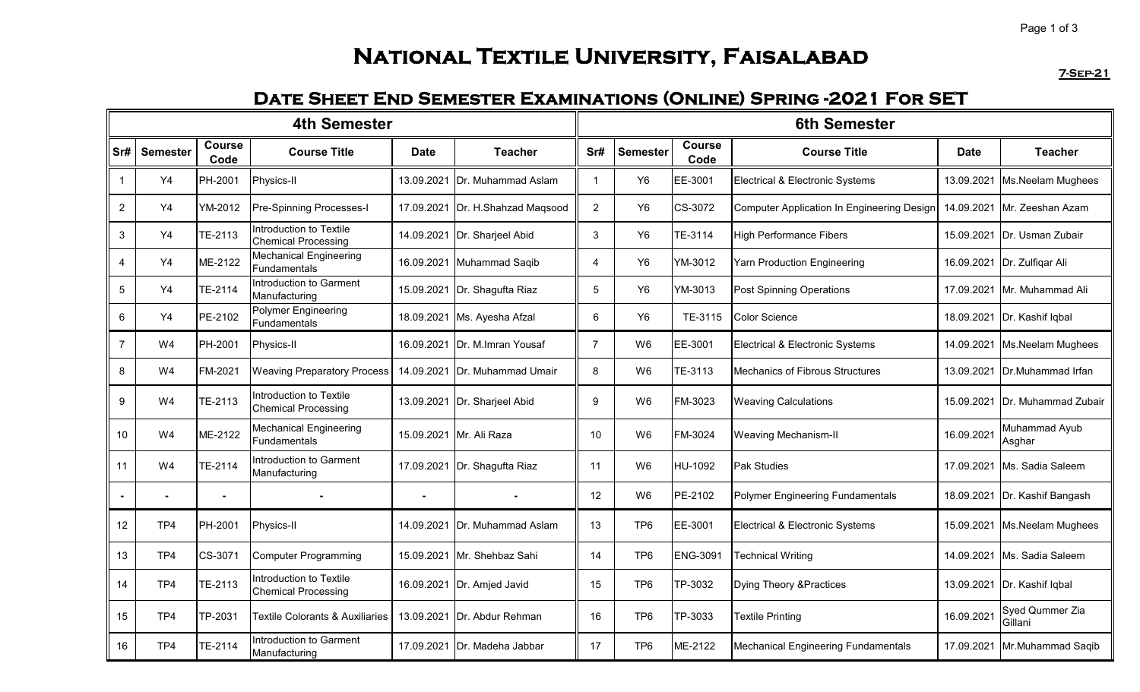# **National Textile University, Faisalabad**

**7-Sep-21**

### **Date Sheet End Semester Examinations (Online) Spring -2021 For SET**

| <b>4th Semester</b> |                 |                       |                                                       |             |                              |                | <b>6th Semester</b> |                       |                                            |             |                                |  |  |
|---------------------|-----------------|-----------------------|-------------------------------------------------------|-------------|------------------------------|----------------|---------------------|-----------------------|--------------------------------------------|-------------|--------------------------------|--|--|
| Sr#                 | <b>Semester</b> | <b>Course</b><br>Code | <b>Course Title</b>                                   | <b>Date</b> | <b>Teacher</b>               | Sr#            | <b>Semester</b>     | <b>Course</b><br>Code | <b>Course Title</b>                        | <b>Date</b> | <b>Teacher</b>                 |  |  |
| $\mathbf 1$         | Y4              | PH-2001               | Physics-II                                            | 13.09.2021  | Dr. Muhammad Aslam           | $\mathbf{1}$   | Y <sub>6</sub>      | EE-3001               | Electrical & Electronic Systems            | 13.09.2021  | Ms.Neelam Mughees              |  |  |
| $\overline{2}$      | Y4              | YM-2012               | <b>Pre-Spinning Processes-I</b>                       | 17.09.2021  | Dr. H.Shahzad Maqsood        | $\overline{2}$ | Y <sub>6</sub>      | CS-3072               | Computer Application In Engineering Design |             | 14.09.2021 Mr. Zeeshan Azam    |  |  |
| 3                   | Y4              | TE-2113               | Introduction to Textile<br><b>Chemical Processing</b> | 14.09.2021  | Dr. Sharjeel Abid            | 3              | Y <sub>6</sub>      | TE-3114               | High Performance Fibers                    |             | 15.09.2021   Dr. Usman Zubair  |  |  |
| 4                   | Y4              | ME-2122               | <b>Mechanical Engineering</b><br>Fundamentals         | 16.09.2021  | Muhammad Saqib               | 4              | Y <sub>6</sub>      | YM-3012               | Yarn Production Engineering                |             | 16.09.2021 Dr. Zulfigar Ali    |  |  |
| $\overline{5}$      | Y4              | TE-2114               | Introduction to Garment<br>Manufacturing              | 15.09.2021  | Dr. Shagufta Riaz            | 5              | Y <sub>6</sub>      | YM-3013               | <b>Post Spinning Operations</b>            | 17.09.2021  | Mr. Muhammad Ali               |  |  |
| 6                   | Y4              | PE-2102               | <b>Polymer Engineering</b><br>Fundamentals            | 18.09.2021  | Ms. Ayesha Afzal             | 6              | Y <sub>6</sub>      | TE-3115               | <b>Color Science</b>                       | 18.09.2021  | Dr. Kashif Iqbal               |  |  |
| $\overline{7}$      | W4              | PH-2001               | Physics-II                                            | 16.09.2021  | Dr. M.Imran Yousaf           | $\overline{7}$ | W <sub>6</sub>      | EE-3001               | Electrical & Electronic Systems            | 14.09.2021  | Ms.Neelam Mughees              |  |  |
| 8                   | W4              | FM-2021               | <b>Weaving Preparatory Process</b>                    | 14.09.2021  | Dr. Muhammad Umair           | 8              | W <sub>6</sub>      | TE-3113               | Mechanics of Fibrous Structures            | 13.09.2021  | Dr.Muhammad Irfan              |  |  |
| 9                   | W4              | TE-2113               | Introduction to Textile<br><b>Chemical Processing</b> |             | 13.09.2021 Dr. Sharjeel Abid | 9              | W <sub>6</sub>      | FM-3023               | <b>Weaving Calculations</b>                |             | 15.09.2021 Dr. Muhammad Zubair |  |  |
| 10                  | W4              | ME-2122               | Mechanical Engineering<br><b>Fundamentals</b>         | 15.09.2021  | Mr. Ali Raza                 | 10             | W <sub>6</sub>      | FM-3024               | <b>Weaving Mechanism-II</b>                | 16.09.2021  | Muhammad Ayub<br>Asghar        |  |  |
| 11                  | W4              | TE-2114               | <b>Introduction to Garment</b><br>Manufacturing       | 17.09.2021  | Dr. Shagufta Riaz            | 11             | W <sub>6</sub>      | HU-1092               | Pak Studies                                | 17.09.2021  | Ms. Sadia Saleem               |  |  |
| $\blacksquare$      |                 |                       |                                                       |             |                              | 12             | W <sub>6</sub>      | PE-2102               | Polymer Engineering Fundamentals           | 18.09.2021  | Dr. Kashif Bangash             |  |  |
| 12                  | TP4             | PH-2001               | Physics-II                                            | 14.09.2021  | Dr. Muhammad Aslam           | 13             | TP <sub>6</sub>     | EE-3001               | Electrical & Electronic Systems            | 15.09.2021  | Ms.Neelam Mughees              |  |  |
| 13                  | TP4             | CS-3071               | <b>Computer Programming</b>                           | 15.09.2021  | Mr. Shehbaz Sahi             | 14             | TP <sub>6</sub>     | <b>ENG-3091</b>       | <b>Technical Writing</b>                   | 14.09.2021  | Ms. Sadia Saleem               |  |  |
| 14                  | TP4             | TE-2113               | Introduction to Textile<br><b>Chemical Processing</b> | 16.09.2021  | Dr. Amjed Javid              | 15             | TP <sub>6</sub>     | TP-3032               | Dying Theory & Practices                   | 13.09.2021  | Dr. Kashif Iqbal               |  |  |
| 15                  | TP4             | TP-2031               | <b>Textile Colorants &amp; Auxiliaries</b>            | 13.09.2021  | Dr. Abdur Rehman             | 16             | TP <sub>6</sub>     | TP-3033               | Textile Printing                           | 16.09.2021  | Syed Qummer Zia<br>Gillani     |  |  |
| 16                  | TP4             | TE-2114               | Introduction to Garment<br>Manufacturing              | 17.09.2021  | <b>IDr. Madeha Jabbar</b>    | 17             | TP <sub>6</sub>     | ME-2122               | Mechanical Engineering Fundamentals        |             | 17.09.2021 Mr.Muhammad Saqib   |  |  |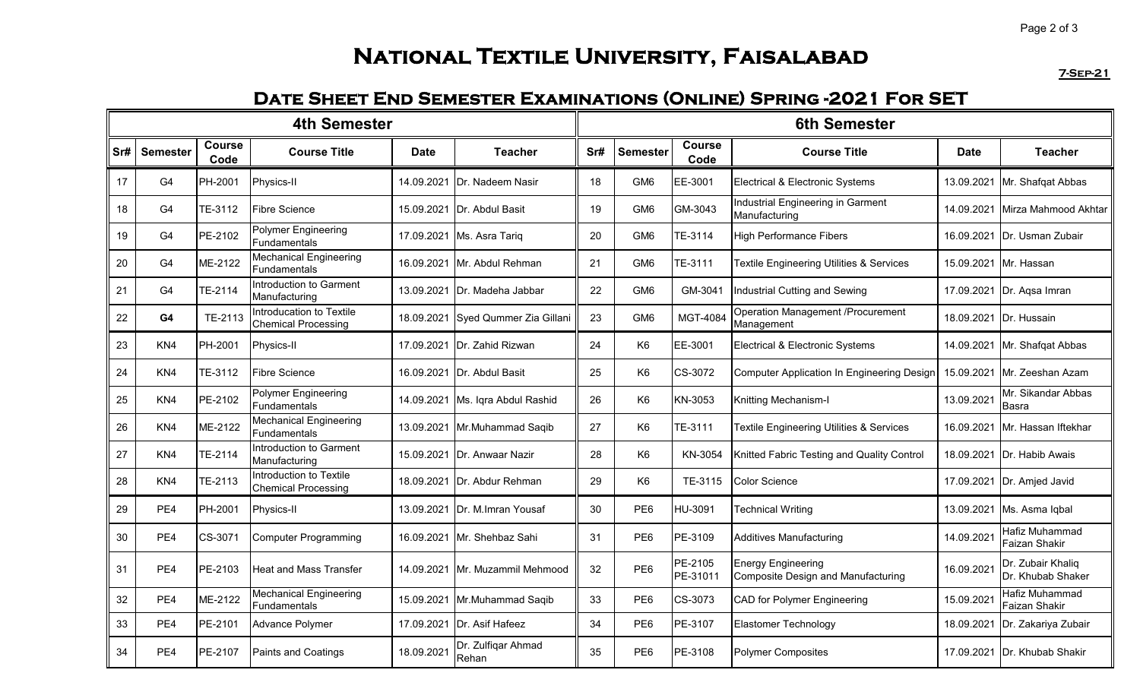# **National Textile University, Faisalabad**

**7-Sep-21**

#### **Date Sheet End Semester Examinations (Online) Spring -2021 For SET**

| <b>4th Semester</b> |                 |                       |                                                        |             |                             |     | <b>6th Semester</b> |                       |                                                                 |             |                                        |  |  |
|---------------------|-----------------|-----------------------|--------------------------------------------------------|-------------|-----------------------------|-----|---------------------|-----------------------|-----------------------------------------------------------------|-------------|----------------------------------------|--|--|
| Sr#                 | <b>Semester</b> | <b>Course</b><br>Code | <b>Course Title</b>                                    | <b>Date</b> | <b>Teacher</b>              | Sr# | <b>Semester</b>     | <b>Course</b><br>Code | <b>Course Title</b>                                             | <b>Date</b> | <b>Teacher</b>                         |  |  |
| 17                  | G <sub>4</sub>  | PH-2001               | Physics-II                                             | 14.09.2021  | <b>IDr. Nadeem Nasir</b>    | 18  | GM <sub>6</sub>     | EE-3001               | <b>Electrical &amp; Electronic Systems</b>                      | 13.09.2021  | Mr. Shafqat Abbas                      |  |  |
| 18                  | G <sub>4</sub>  | TE-3112               | <b>Fibre Science</b>                                   | 15.09.2021  | <b>IDr. Abdul Basit</b>     | 19  | GM <sub>6</sub>     | GM-3043               | Industrial Engineering in Garment<br>Manufacturing              | 14.09.2021  | Mirza Mahmood Akhtar                   |  |  |
| 19                  | G <sub>4</sub>  | PE-2102               | <b>Polymer Engineering</b><br><b>Fundamentals</b>      |             | 17.09.2021   Ms. Asra Tariq | 20  | GM <sub>6</sub>     | TE-3114               | <b>High Performance Fibers</b>                                  |             | 16.09.2021   Dr. Usman Zubair          |  |  |
| 20                  | G <sub>4</sub>  | ME-2122               | <b>Mechanical Engineering</b><br><b>Fundamentals</b>   |             | 16.09.2021 Mr. Abdul Rehman | 21  | GM <sub>6</sub>     | TE-3111               | <b>Textile Engineering Utilities &amp; Services</b>             |             | 15.09.2021 Mr. Hassan                  |  |  |
| 21                  | G <sub>4</sub>  | TE-2114               | Introduction to Garment<br>Manufacturing               | 13.09.2021  | Dr. Madeha Jabbar           | 22  | GM <sub>6</sub>     | GM-3041               | Industrial Cutting and Sewing                                   |             | 17.09.2021 Dr. Agsa Imran              |  |  |
| 22                  | G4              | TE-2113               | Introducation to Textile<br><b>Chemical Processing</b> | 18.09.2021  | Syed Qummer Zia Gillani     | 23  | GM <sub>6</sub>     | MGT-4084              | <b>Operation Management /Procurement</b><br>Management          |             | 18.09.2021 Dr. Hussain                 |  |  |
| 23                  | KN <sub>4</sub> | PH-2001               | Physics-II                                             | 17.09.2021  | Dr. Zahid Rizwan            | 24  | K6                  | EE-3001               | <b>Electrical &amp; Electronic Systems</b>                      | 14.09.2021  | Mr. Shafqat Abbas                      |  |  |
| 24                  | KN4             | TE-3112               | <b>Fibre Science</b>                                   | 16.09.2021  | Dr. Abdul Basit             | 25  | K <sub>6</sub>      | CS-3072               | Computer Application In Engineering Design                      | 15.09.2021  | Mr. Zeeshan Azam                       |  |  |
| 25                  | KN <sub>4</sub> | PE-2102               | Polymer Engineering<br><b>Fundamentals</b>             | 14.09.2021  | Ms. Iqra Abdul Rashid       | 26  | K <sub>6</sub>      | KN-3053               | Knitting Mechanism-I                                            | 13.09.2021  | Mr. Sikandar Abbas<br>Basra            |  |  |
| 26                  | KN <sub>4</sub> | ME-2122               | <b>Mechanical Engineering</b><br>Fundamentals          | 13.09.2021  | Mr.Muhammad Saqib           | 27  | K <sub>6</sub>      | TE-3111               | <b>Textile Engineering Utilities &amp; Services</b>             | 16.09.2021  | Mr. Hassan Iftekhar                    |  |  |
| 27                  | KN <sub>4</sub> | TE-2114               | Introduction to Garment<br>Manufacturing               | 15.09.2021  | <b>IDr. Anwaar Nazir</b>    | 28  | K <sub>6</sub>      | KN-3054               | Knitted Fabric Testing and Quality Control                      |             | 18.09.2021 IDr. Habib Awais            |  |  |
| 28                  | KN <sub>4</sub> | TE-2113               | Introduction to Textile<br><b>Chemical Processing</b>  | 18.09.2021  | Dr. Abdur Rehman            | 29  | K <sub>6</sub>      | TE-3115               | <b>Color Science</b>                                            |             | 17.09.2021 Dr. Amjed Javid             |  |  |
| 29                  | PE4             | PH-2001               | Physics-II                                             | 13.09.2021  | Dr. M.Imran Yousaf          | 30  | PE6                 | HU-3091               | Technical Writing                                               | 13.09.2021  | Ms. Asma Iqbal                         |  |  |
| 30                  | PE4             | CS-3071               | <b>Computer Programming</b>                            |             | 16.09.2021 Mr. Shehbaz Sahi | 31  | PE <sub>6</sub>     | PE-3109               | <b>Additives Manufacturing</b>                                  | 14.09.2021  | Hafiz Muhammad<br>Faizan Shakir        |  |  |
| 31                  | PE4             | PE-2103               | Heat and Mass Transfer                                 | 14.09.2021  | IMr. Muzammil Mehmood       | 32  | PE <sub>6</sub>     | PE-2105<br>PE-31011   | <b>Energy Engineering</b><br>Composite Design and Manufacturing | 16.09.2021  | Dr. Zubair Khaliq<br>Dr. Khubab Shaker |  |  |
| 32                  | PE4             | ME-2122               | Mechanical Engineering<br>Fundamentals                 | 15.09.2021  | Mr.Muhammad Saqib           | 33  | PE <sub>6</sub>     | CS-3073               | <b>CAD for Polymer Engineering</b>                              | 15.09.2021  | <b>Hafiz Muhammad</b><br>Faizan Shakir |  |  |
| 33                  | PE4             | PE-2101               | Advance Polymer                                        | 17.09.2021  | Dr. Asif Hafeez             | 34  | PE <sub>6</sub>     | PE-3107               | <b>Elastomer Technology</b>                                     | 18.09.2021  | Dr. Zakariya Zubair                    |  |  |
| 34                  | PE4             | PE-2107               | Paints and Coatings                                    | 18.09.2021  | Dr. Zulfiqar Ahmad<br>Rehan | 35  | PE <sub>6</sub>     | PE-3108               | <b>Polymer Composites</b>                                       |             | 17.09.2021 Dr. Khubab Shakir           |  |  |